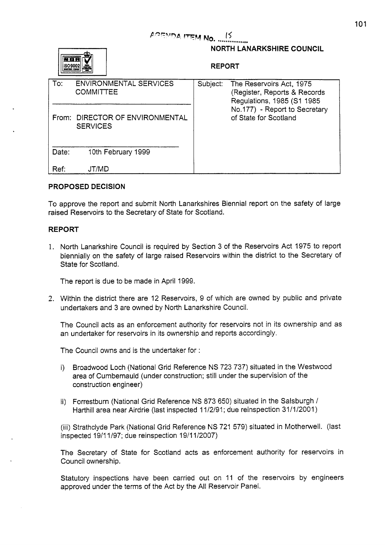# AGENDA ITEM No. 15



# **NORTH LANARKSHIRE COUNCIL**

### **REPORT**

| To:   | <b>ENVIRONMENTAL SERVICES</b><br><b>COMMITTEE</b>  | Subject: | The Reservoirs Act, 1975<br>(Register, Reports & Records<br>Regulations, 1985 (S1 1985 |
|-------|----------------------------------------------------|----------|----------------------------------------------------------------------------------------|
|       | From: DIRECTOR OF ENVIRONMENTAL<br><b>SERVICES</b> |          | No.177) - Report to Secretary<br>of State for Scotland                                 |
| Date: | 10th February 1999                                 |          |                                                                                        |
| Ref:  | JT/MD                                              |          |                                                                                        |

## **PROPOSED DECISION**

To approve the report and submit North Lanarkshires Biennial report on the safety of large raised Reservoirs to the Secretary of State for Scotland.

## **REPORT**

1. North Lanarkshire Council is required by Section 3 of the Reservoirs Act 1975 to report biennially on the safety of large raised Reservoirs within the district to the Secretary of State for Scotland.

The report is due to be made in April 1999.

**2.** Within the district there are 12 Reservoirs, 9 of which are owned by public and private undertakers and 3 are owned by North Lanarkshire Council.

The Council acts as an enforcement authority for reservoirs not in its ownership and as an undertaker for reservoirs in its ownership and reports accordingly.

The Council owns and is the undertaker for :

- i) Broadwood Loch (National Grid Reference NS 723 737) situated in the Westwood area of Cumbernauld (under construction; still under the supervision of the construction engineer)
- ii) Forrestburn (National Grid Reference NS 873 650) situated in the Salsburgh / Harthill area near Airdrie (last inspected 11/2/91; due reinspection 31/1/2001)

(iii) Strathclyde Park (National Grid Reference NS 721 579) situated in Motherwell. (last inspected 19/11/97; due reinspection 1911 1/2007)

The Secretary of State for Scotland acts as enforcement authority for reservoirs in Council ownership.

Statutory inspections have been carried out on 11 of the reservoirs by engineers approved under the terms of the Act by the **All** Reservoir Panel.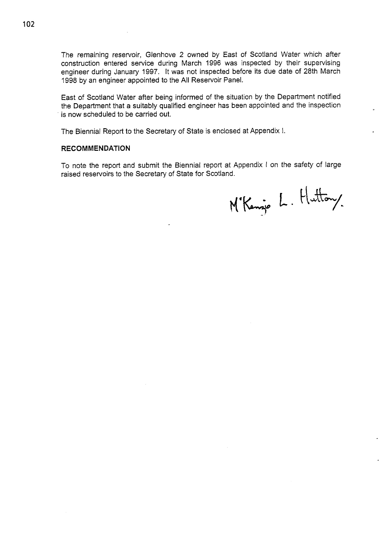The remaining reservoir, Glenhove 2 owned by East of Scotland Water which after construction entered service during March 1996 was inspected by their supervising engineer during January 1997. It was not inspected before its due date of 28th March 1998 **by** an engineer appointed to the **All** Reservoir Panel.

East of Scotland Water after being informed of the situation by the Department notified the Department that a suitably qualified engineer has been appointed and the inspection is now scheduled to be carried out.

The Biennial Report to the Secretary of State is enclosed at Appendix I.

### **RECOMMENDATION**

To note the report and submit the Biennial report at Appendix I on the safety of large raised reservoirs to the Secretary of State for Scotland.

M'Kenzie L. Huttony.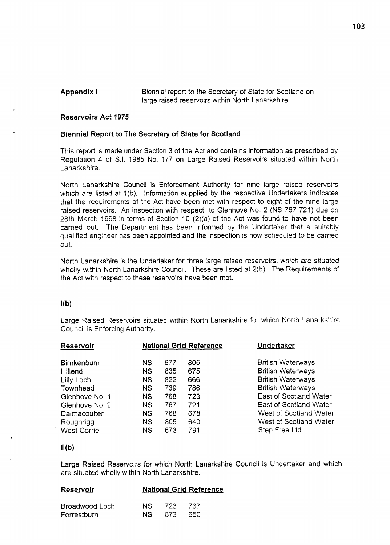**Appendix I** Biennial report to the Secretary of State for Scotland on large raised reservoirs within North Lanarkshire.

# **Reservoirs Act 1975**

### **Biennial Report to The Secretary of State for Scotland**

This report is made under Section 3 of the Act and contains information as prescribed by Regulation 4 of S.I. 1985 No. 177 on Large Raised Reservoirs situated within North Lanarkshire.

North Lanarkshire Council is Enforcement Authority for nine large raised reservoirs which are listed at 1(b). Information supplied by the respective Undertakers indicates that the requirements of the Act have been met with respect to eight of the nine large raised reservoirs. An inspection with respect to Glenhove No. 2 (NS 767 721) due on 28th March 1998 in terms of Section 10 (2)(a) of the Act was found to have not been carried out. The Department has been informed by the Undertaker that a suitably qualified engineer has been appointed and the inspection is now scheduled to be carried out.

North Lanarkshire is the Undertaker for three large raised reservoirs, which are situated wholly within North Lanarkshire Council. These are listed at 2(b). The Requirements of the Act with respect to these reservoirs have been met.

### $\{a\}$

Large Raised Reservoirs situated within North Lanarkshire for which North Lanarkshire Council is Enforcing Authority.

| Reservoir                  | <b>National Grid Reference</b> |            |            | Undertaker                                           |  |
|----------------------------|--------------------------------|------------|------------|------------------------------------------------------|--|
| <b>Birnkenburn</b>         | <b>NS</b>                      | 677        | 805        | <b>British Waterways</b>                             |  |
| Hillend<br>Lilly Loch      | <b>NS</b><br><b>NS</b>         | 835<br>822 | 675<br>666 | <b>British Waterways</b><br><b>British Waterways</b> |  |
| Townhead<br>Glenhove No. 1 | <b>NS</b><br>NS <sup>®</sup>   | 739<br>768 | 786<br>723 | <b>British Waterways</b><br>East of Scotland Water   |  |
| Glenhove No. 2             | <b>NS</b>                      | 767        | 721        | East of Scotland Water                               |  |
| Dalmacoulter<br>Roughrigg  | <b>NS</b><br><b>NS</b>         | 768<br>805 | 678<br>640 | West of Scotland Water<br>West of Scotland Water     |  |
| <b>West Corrie</b>         | <b>NS</b>                      | 673        | 791        | Step Free Ltd                                        |  |

### $I(f)$

Large Raised Reservoirs for which North Lanarkshire Council is Undertaker and which are situated wholly within North Lanarkshire.

| Reservoir | <b>National Grid Reference</b> |
|-----------|--------------------------------|
|           |                                |

| Broadwood Loch | NS 723 737 |  |
|----------------|------------|--|
| Forrestburn    | NS 873 650 |  |